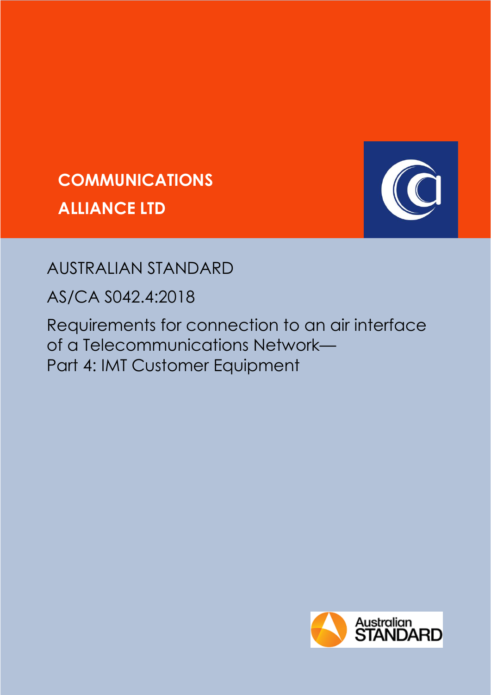



## AUSTRALIAN STANDARD

AS/CA S042.4:2018

Requirements for connection to an air interface of a Telecommunications Network— Part 4: IMT Customer Equipment

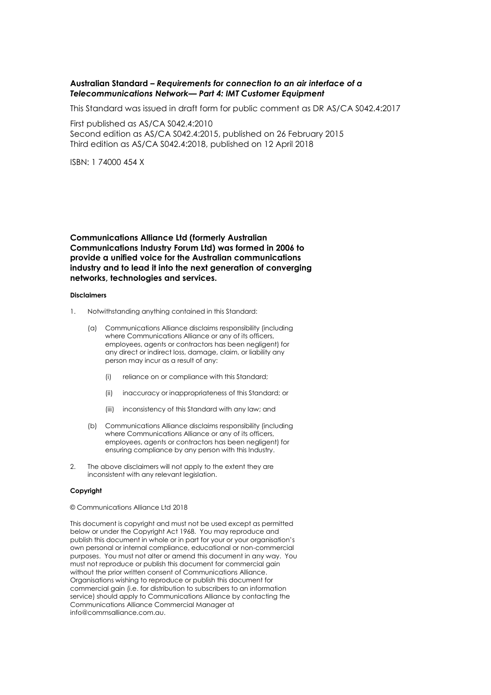#### **Australian Standard –** *Requirements for connection to an air interface of a Telecommunications Network— Part 4: IMT Customer Equipment*

This Standard was issued in draft form for public comment as DR AS/CA S042.4:2017

First published as AS/CA S042.4:2010 Second edition as AS/CA S042.4:2015, published on 26 February 2015 Third edition as AS/CA S042.4:2018, published on 12 April 2018

ISBN: 1 74000 454 X

**Communications Alliance Ltd (formerly Australian Communications Industry Forum Ltd) was formed in 2006 to provide a unified voice for the Australian communications industry and to lead it into the next generation of converging networks, technologies and services.**

#### **Disclaimers**

- 1. Notwithstanding anything contained in this Standard:
	- (a) Communications Alliance disclaims responsibility (including where Communications Alliance or any of its officers, employees, agents or contractors has been negligent) for any direct or indirect loss, damage, claim, or liability any person may incur as a result of any:
		- (i) reliance on or compliance with this Standard;
		- (ii) inaccuracy or inappropriateness of this Standard; or
		- (iii) inconsistency of this Standard with any law; and
	- (b) Communications Alliance disclaims responsibility (including where Communications Alliance or any of its officers, employees, agents or contractors has been negligent) for ensuring compliance by any person with this Industry.
- 2. The above disclaimers will not apply to the extent they are inconsistent with any relevant legislation.

#### **Copyright**

#### © Communications Alliance Ltd 2018

This document is copyright and must not be used except as permitted below or under the Copyright Act 1968. You may reproduce and publish this document in whole or in part for your or your organisation's own personal or internal compliance, educational or non-commercial purposes. You must not alter or amend this document in any way. You must not reproduce or publish this document for commercial gain without the prior written consent of Communications Alliance. Organisations wishing to reproduce or publish this document for commercial gain (i.e. for distribution to subscribers to an information service) should apply to Communications Alliance by contacting the Communications Alliance Commercial Manager at info@commsalliance.com.au.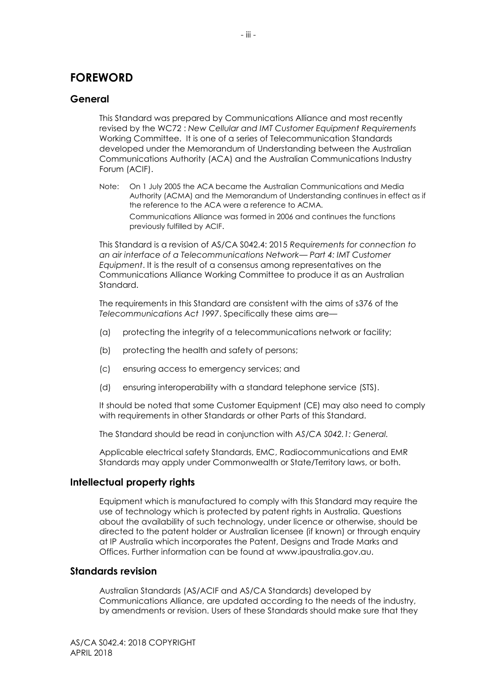## **FOREWORD**

#### **General**

This Standard was prepared by Communications Alliance and most recently revised by the WC72 : *New Cellular and IMT Customer Equipment Requirements* Working Committee. It is one of a series of Telecommunication Standards developed under the Memorandum of Understanding between the Australian Communications Authority (ACA) and the Australian Communications Industry Forum (ACIF).

Note: On 1 July 2005 the ACA became the Australian Communications and Media Authority (ACMA) and the Memorandum of Understanding continues in effect as if the reference to the ACA were a reference to ACMA. Communications Alliance was formed in 2006 and continues the functions previously fulfilled by ACIF.

This Standard is a revision of AS/CA S042.4: 2015 *Requirements for connection to an air interface of a Telecommunications Network— Part 4: IMT Customer Equipment*. It is the result of a consensus among representatives on the Communications Alliance Working Committee to produce it as an Australian Standard.

The requirements in this Standard are consistent with the aims of s376 of the *Telecommunications Act 1997*. Specifically these aims are—

- (a) protecting the integrity of a telecommunications network or facility;
- (b) protecting the health and safety of persons;
- (c) ensuring access to emergency services; and
- (d) ensuring interoperability with a standard telephone service (STS).

It should be noted that some Customer Equipment (CE) may also need to comply with requirements in other Standards or other Parts of this Standard.

The Standard should be read in conjunction with *AS/CA S042.1: General.*

Applicable electrical safety Standards, EMC, Radiocommunications and EMR Standards may apply under Commonwealth or State/Territory laws, or both.

#### **Intellectual property rights**

Equipment which is manufactured to comply with this Standard may require the use of technology which is protected by patent rights in Australia. Questions about the availability of such technology, under licence or otherwise, should be directed to the patent holder or Australian licensee (if known) or through enquiry at IP Australia which incorporates the Patent, Designs and Trade Marks and Offices. Further information can be found at www.ipaustralia.gov.au.

#### **Standards revision**

Australian Standards (AS/ACIF and AS/CA Standards) developed by Communications Alliance, are updated according to the needs of the industry, by amendments or revision. Users of these Standards should make sure that they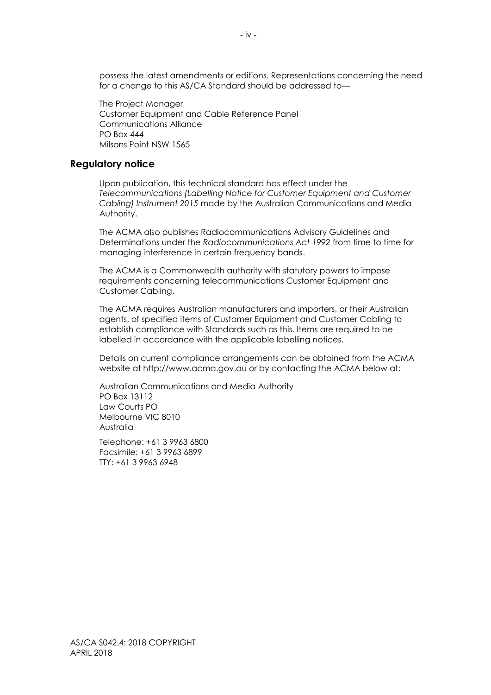possess the latest amendments or editions. Representations concerning the need for a change to this AS/CA Standard should be addressed to—

The Project Manager Customer Equipment and Cable Reference Panel Communications Alliance PO Box 444 Milsons Point NSW 1565

#### **Regulatory notice**

Upon publication, this technical standard has effect under the *Telecommunications (Labelling Notice for Customer Equipment and Customer Cabling) Instrument 2015* made by the Australian Communications and Media Authority.

The ACMA also publishes Radiocommunications Advisory Guidelines and Determinations under the *Radiocommunications Act 1992* from time to time for managing interference in certain frequency bands.

The ACMA is a Commonwealth authority with statutory powers to impose requirements concerning telecommunications Customer Equipment and Customer Cabling.

The ACMA requires Australian manufacturers and importers, or their Australian agents, of specified items of Customer Equipment and Customer Cabling to establish compliance with Standards such as this. Items are required to be labelled in accordance with the applicable labelling notices.

Details on current compliance arrangements can be obtained from the ACMA website at http://www.acma.gov.au or by contacting the ACMA below at:

Australian Communications and Media Authority PO Box 13112 Law Courts PO Melbourne VIC 8010 Australia

Telephone: +61 3 9963 6800 Facsimile: +61 3 9963 6899 TTY: +61 3 9963 6948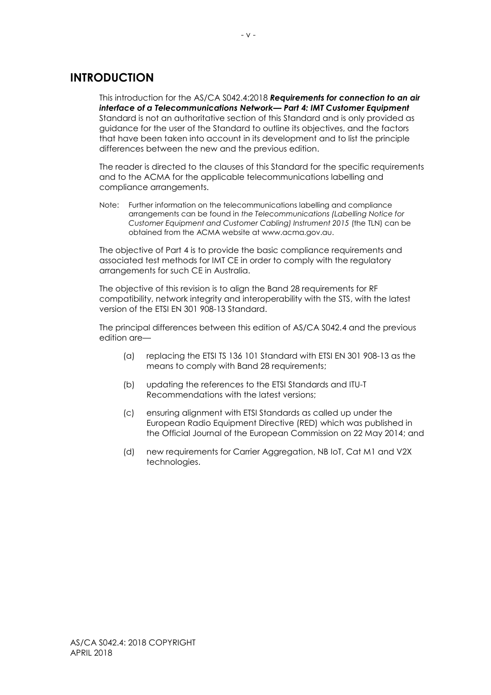## **INTRODUCTION**

This introduction for the AS/CA S042.4:2018 *Requirements for connection to an air interface of a Telecommunications Network— Part 4: IMT Customer Equipment*  Standard is not an authoritative section of this Standard and is only provided as guidance for the user of the Standard to outline its objectives, and the factors that have been taken into account in its development and to list the principle differences between the new and the previous edition.

The reader is directed to the clauses of this Standard for the specific requirements and to the ACMA for the applicable telecommunications labelling and compliance arrangements.

Note: Further information on the telecommunications labelling and compliance arrangements can be found in *the Telecommunications (Labelling Notice for Customer Equipment and Customer Cabling) Instrument 2015* (the TLN) can be obtained from the ACMA website at www.acma.gov.au.

The objective of Part 4 is to provide the basic compliance requirements and associated test methods for IMT CE in order to comply with the regulatory arrangements for such CE in Australia.

The objective of this revision is to align the Band 28 requirements for RF compatibility, network integrity and interoperability with the STS, with the latest version of the ETSI EN 301 908-13 Standard.

The principal differences between this edition of AS/CA S042.4 and the previous edition are—

- (a) replacing the ETSI TS 136 101 Standard with ETSI EN 301 908-13 as the means to comply with Band 28 requirements;
- (b) updating the references to the ETSI Standards and ITU-T Recommendations with the latest versions;
- (c) ensuring alignment with ETSI Standards as called up under the European Radio Equipment Directive (RED) which was published in the Official Journal of the European Commission on 22 May 2014; and
- (d) new requirements for Carrier Aggregation, NB IoT, Cat M1 and V2X technologies.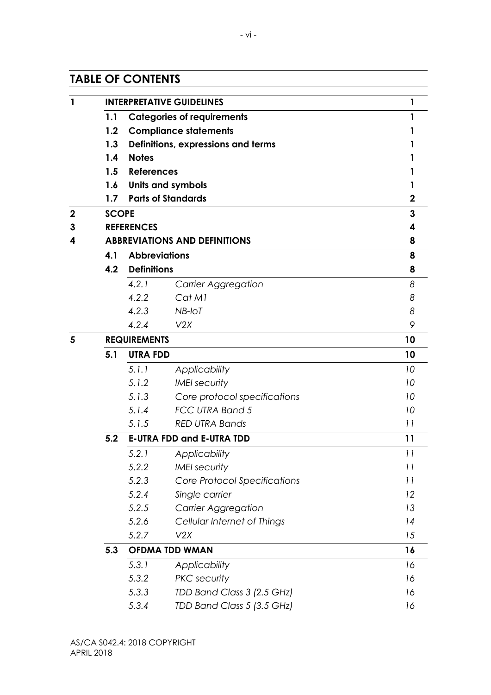## **TABLE OF CONTENTS**

|     |                      | <b>INTERPRETATIVE GUIDELINES</b>     | 1           |
|-----|----------------------|--------------------------------------|-------------|
| 1.1 |                      | <b>Categories of requirements</b>    | 1           |
| 1.2 |                      | <b>Compliance statements</b>         | 1           |
| 1.3 |                      | Definitions, expressions and terms   |             |
| 1.4 | <b>Notes</b>         |                                      |             |
| 1.5 | <b>References</b>    |                                      |             |
| 1.6 |                      | <b>Units and symbols</b>             | 1           |
| 1.7 |                      | <b>Parts of Standards</b>            | $\mathbf 2$ |
|     | <b>SCOPE</b>         |                                      | 3           |
|     | <b>REFERENCES</b>    |                                      | 4           |
|     |                      | <b>ABBREVIATIONS AND DEFINITIONS</b> | 8           |
| 4.1 | <b>Abbreviations</b> |                                      | 8           |
| 4.2 | <b>Definitions</b>   |                                      | 8           |
|     | 4.2.1                | <b>Carrier Aggregation</b>           | 8           |
|     | 4.2.2                | Cat M1                               | 8           |
|     | 4.2.3                | NB-IoT                               | 8           |
|     | 4.2.4                | V2X                                  | 9           |
|     | <b>REQUIREMENTS</b>  |                                      | 10          |
| 5.1 | <b>UTRA FDD</b>      |                                      | 10          |
|     | 5.1.1                | Applicability                        | 10          |
|     | 5.1.2                | <b>IMEI</b> security                 | 10          |
|     | 5.1.3                | Core protocol specifications         | 10          |
|     | 5.1.4                | FCC UTRA Band 5                      | 10          |
|     | 5.1.5                | <b>RED UTRA Bands</b>                | 11          |
| 5.2 |                      | <b>E-UTRA FDD and E-UTRA TDD</b>     | 11          |
|     | 5.2.1                | Applicability                        | 11          |
|     | 5.2.2                | <b>IMEI</b> security                 | 11          |
|     | 5.2.3                | Core Protocol Specifications         | 11          |
|     | 5.2.4                | Single carrier                       | 12          |
|     | 5.2.5                | <b>Carrier Aggregation</b>           | 13          |
|     | 5.2.6                | Cellular Internet of Things          | 14          |
|     | 5.2.7                | V2X                                  | 15          |
| 5.3 |                      | <b>OFDMA TDD WMAN</b>                | 16          |
|     | 5.3.1                | Applicability                        | 16          |
|     | 5.3.2                | <b>PKC</b> security                  | 16          |
|     | 5.3.3                | TDD Band Class 3 (2.5 GHz)           | 16          |
|     | 5.3.4                | TDD Band Class 5 (3.5 GHz)           | 16          |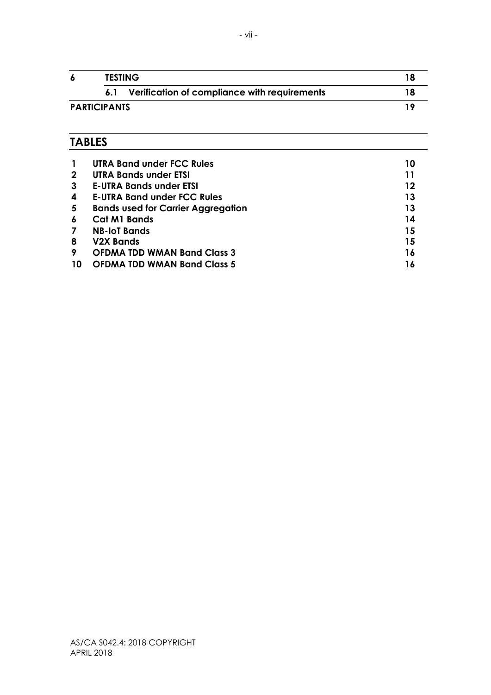|                     |     | <b>TESTING</b>                               |  |
|---------------------|-----|----------------------------------------------|--|
|                     | 6.1 | Verification of compliance with requirements |  |
| <b>PARTICIPANTS</b> |     | 1 C                                          |  |

## **TABLES**

|    | <b>UTRA Band under FCC Rules</b>          | 10 |
|----|-------------------------------------------|----|
| 2  | UTRA Bands under ETSI                     |    |
| 3  | <b>E-UTRA Bands under ETSI</b>            | 12 |
| 4  | <b>E-UTRA Band under FCC Rules</b>        | 13 |
| 5  | <b>Bands used for Carrier Aggregation</b> | 13 |
| 6  | <b>Cat M1 Bands</b>                       | 14 |
|    | <b>NB-IoT Bands</b>                       | 15 |
| 8  | <b>V2X Bands</b>                          | 15 |
| 9  | <b>OFDMA TDD WMAN Band Class 3</b>        | 16 |
| 10 | <b>OFDMA TDD WMAN Band Class 5</b>        |    |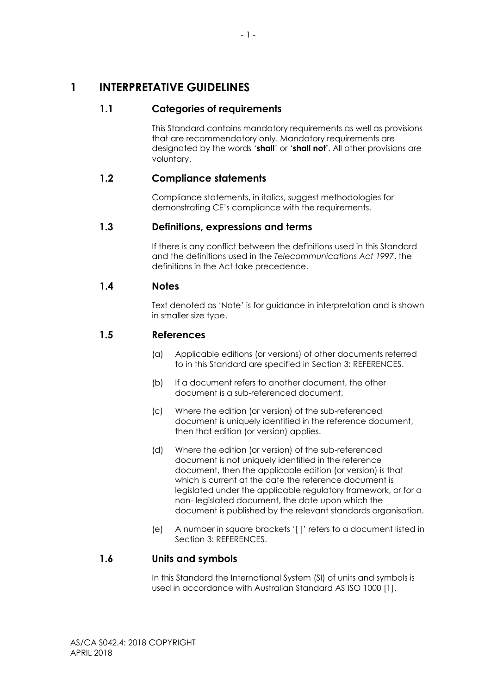## <span id="page-7-1"></span><span id="page-7-0"></span>**1 INTERPRETATIVE GUIDELINES**

## **1.1 Categories of requirements**

This Standard contains mandatory requirements as well as provisions that are recommendatory only. Mandatory requirements are designated by the words '**shall**' or '**shall not'**. All other provisions are voluntary.

## <span id="page-7-2"></span>**1.2 Compliance statements**

Compliance statements, in italics, suggest methodologies for demonstrating CE's compliance with the requirements.

#### <span id="page-7-3"></span>**1.3 Definitions, expressions and terms**

If there is any conflict between the definitions used in this Standard and the definitions used in the *Telecommunications Act 1997*, the definitions in the Act take precedence.

#### <span id="page-7-4"></span>**1.4 Notes**

Text denoted as 'Note' is for guidance in interpretation and is shown in smaller size type.

#### <span id="page-7-5"></span>**1.5 References**

- (a) Applicable editions (or versions) of other documents referred to in this Standard are specified in Section 3: REFERENCES.
- (b) If a document refers to another document, the other document is a sub-referenced document.
- (c) Where the edition (or version) of the sub-referenced document is uniquely identified in the reference document, then that edition (or version) applies.
- (d) Where the edition (or version) of the sub-referenced document is not uniquely identified in the reference document, then the applicable edition (or version) is that which is current at the date the reference document is legislated under the applicable regulatory framework, or for a non- legislated document, the date upon which the document is published by the relevant standards organisation.
- (e) A number in square brackets '[ ]' refers to a document listed in Section 3: REFERENCES.

## <span id="page-7-6"></span>**1.6 Units and symbols**

In this Standard the International System (SI) of units and symbols is used in accordance with Australian Standard AS ISO 1000 [1].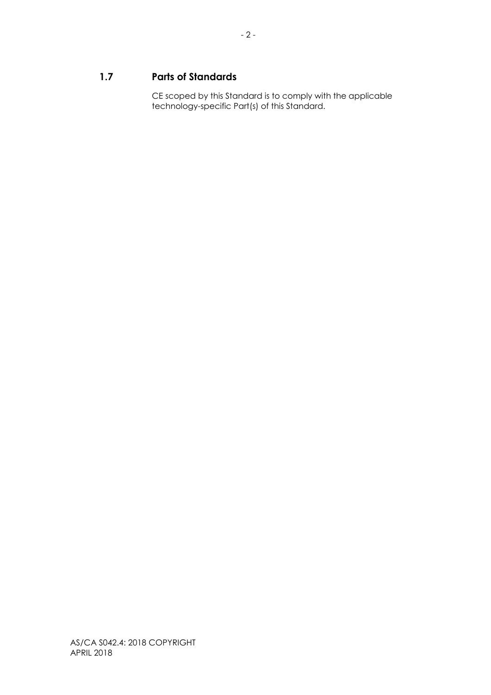## <span id="page-8-0"></span>**1.7 Parts of Standards**

CE scoped by this Standard is to comply with the applicable technology-specific Part(s) of this Standard.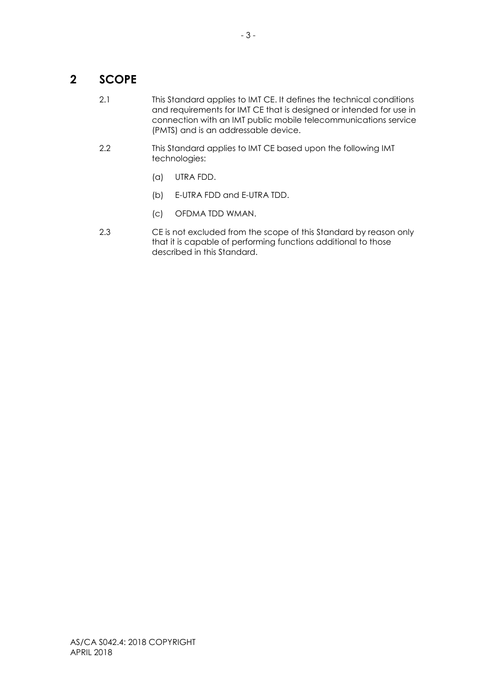## <span id="page-9-0"></span>**2 SCOPE**

- 2.1 This Standard applies to IMT CE. It defines the technical conditions and requirements for IMT CE that is designed or intended for use in connection with an IMT public mobile telecommunications service (PMTS) and is an addressable device.
- 2.2 This Standard applies to IMT CE based upon the following IMT technologies:
	- (a) UTRA FDD.
	- (b) E-UTRA FDD and E-UTRA TDD.
	- (c) OFDMA TDD WMAN.
- 2.3 CE is not excluded from the scope of this Standard by reason only that it is capable of performing functions additional to those described in this Standard.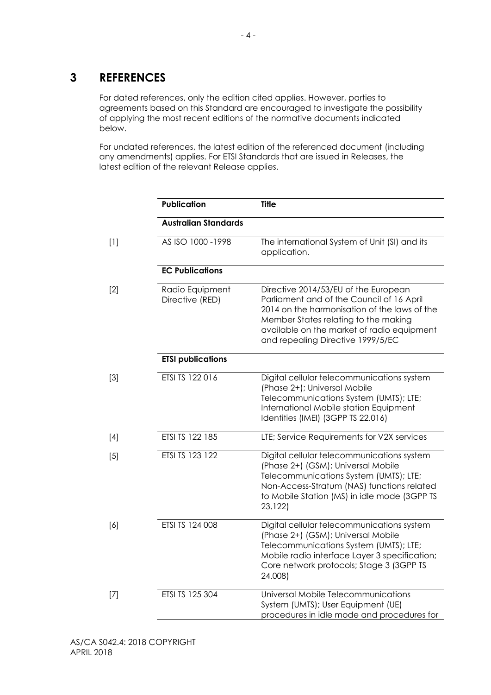## <span id="page-10-0"></span>**3 REFERENCES**

For dated references, only the edition cited applies. However, parties to agreements based on this Standard are encouraged to investigate the possibility of applying the most recent editions of the normative documents indicated below.

For undated references, the latest edition of the referenced document (including any amendments) applies. For ETSI Standards that are issued in Releases, the latest edition of the relevant Release applies.

|       | <b>Publication</b>                 | <b>Title</b>                                                                                                                                                                                                                                                 |
|-------|------------------------------------|--------------------------------------------------------------------------------------------------------------------------------------------------------------------------------------------------------------------------------------------------------------|
|       | <b>Australian Standards</b>        |                                                                                                                                                                                                                                                              |
| $[1]$ | AS ISO 1000-1998                   | The international System of Unit (SI) and its<br>application.                                                                                                                                                                                                |
|       | <b>EC Publications</b>             |                                                                                                                                                                                                                                                              |
| $[2]$ | Radio Equipment<br>Directive (RED) | Directive 2014/53/EU of the European<br>Parliament and of the Council of 16 April<br>2014 on the harmonisation of the laws of the<br>Member States relating to the making<br>available on the market of radio equipment<br>and repealing Directive 1999/5/EC |
|       | <b>ETSI publications</b>           |                                                                                                                                                                                                                                                              |
| $[3]$ | ETSI TS 122 016                    | Digital cellular telecommunications system<br>(Phase 2+); Universal Mobile<br>Telecommunications System (UMTS); LTE;<br>International Mobile station Equipment<br>Identities (IMEI) (3GPP TS 22.016)                                                         |
| $[4]$ | ETSI TS 122 185                    | LTE; Service Requirements for V2X services                                                                                                                                                                                                                   |
| [5]   | ETSI TS 123 122                    | Digital cellular telecommunications system<br>(Phase 2+) (GSM); Universal Mobile<br>Telecommunications System (UMTS); LTE;<br>Non-Access-Stratum (NAS) functions related<br>to Mobile Station (MS) in idle mode (3GPP TS<br>23.122)                          |
| [6]   | ETSI TS 124 008                    | Digital cellular telecommunications system<br>(Phase 2+) (GSM); Universal Mobile<br>Telecommunications System (UMTS); LTE;<br>Mobile radio interface Layer 3 specification;<br>Core network protocols; Stage 3 (3GPP TS<br>24.008)                           |
| $[7]$ | ETSI TS 125 304                    | Universal Mobile Telecommunications<br>System (UMTS); User Equipment (UE)<br>procedures in idle mode and procedures for                                                                                                                                      |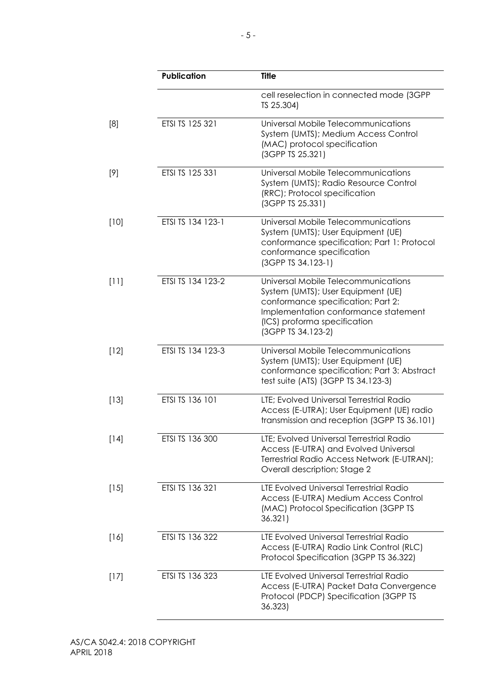|        | <b>Publication</b> | <b>Title</b>                                                                                                                                                                                                  |
|--------|--------------------|---------------------------------------------------------------------------------------------------------------------------------------------------------------------------------------------------------------|
|        |                    | cell reselection in connected mode (3GPP<br>TS 25.304)                                                                                                                                                        |
| [8]    | ETSI TS 125 321    | Universal Mobile Telecommunications<br>System (UMTS); Medium Access Control<br>(MAC) protocol specification<br>(3GPP TS 25.321)                                                                               |
| $[9]$  | ETSI TS 125 331    | Universal Mobile Telecommunications<br>System (UMTS); Radio Resource Control<br>(RRC); Protocol specification<br>(3GPP TS 25.331)                                                                             |
| [10]   | ETSI TS 134 123-1  | Universal Mobile Telecommunications<br>System (UMTS); User Equipment (UE)<br>conformance specification; Part 1: Protocol<br>conformance specification<br>(3GPP TS 34.123-1)                                   |
| [11]   | ETSI TS 134 123-2  | Universal Mobile Telecommunications<br>System (UMTS); User Equipment (UE)<br>conformance specification; Part 2:<br>Implementation conformance statement<br>(ICS) proforma specification<br>(3GPP TS 34.123-2) |
| $[12]$ | ETSI TS 134 123-3  | Universal Mobile Telecommunications<br>System (UMTS); User Equipment (UE)<br>conformance specification; Part 3: Abstract<br>test suite (ATS) (3GPP TS 34.123-3)                                               |
| $[13]$ | ETSI TS 136 101    | LTE; Evolved Universal Terrestrial Radio<br>Access (E-UTRA); User Equipment (UE) radio<br>transmission and reception (3GPP TS 36.101)                                                                         |
| $[14]$ | ETSI TS 136 300    | LTE; Evolved Universal Terrestrial Radio<br>Access (E-UTRA) and Evolved Universal<br>Terrestrial Radio Access Network (E-UTRAN);<br>Overall description; Stage 2                                              |
| $[15]$ | ETSI TS 136 321    | LTE Evolved Universal Terrestrial Radio<br>Access (E-UTRA) Medium Access Control<br>(MAC) Protocol Specification (3GPP TS<br>36.321)                                                                          |
| $[16]$ | ETSI TS 136 322    | LTE Evolved Universal Terrestrial Radio<br>Access (E-UTRA) Radio Link Control (RLC)<br>Protocol Specification (3GPP TS 36.322)                                                                                |
| $[17]$ | ETSI TS 136 323    | LTE Evolved Universal Terrestrial Radio<br>Access (E-UTRA) Packet Data Convergence<br>Protocol (PDCP) Specification (3GPP TS<br>36.323)                                                                       |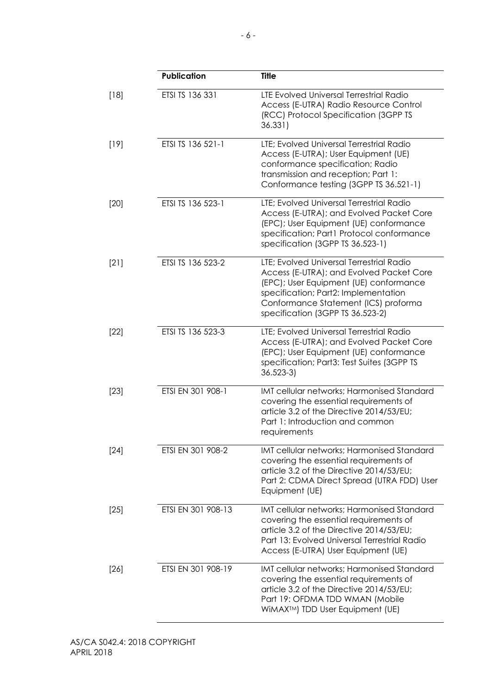|        | Publication        | <b>Title</b>                                                                                                                                                                                                                                       |
|--------|--------------------|----------------------------------------------------------------------------------------------------------------------------------------------------------------------------------------------------------------------------------------------------|
| $[18]$ | ETSI TS 136 331    | LTE Evolved Universal Terrestrial Radio<br>Access (E-UTRA) Radio Resource Control<br>(RCC) Protocol Specification (3GPP TS<br>36.331)                                                                                                              |
| $[19]$ | ETSI TS 136 521-1  | LTE: Evolved Universal Terrestrial Radio<br>Access (E-UTRA); User Equipment (UE)<br>conformance specification; Radio<br>transmission and reception; Part 1:<br>Conformance testing (3GPP TS 36.521-1)                                              |
| $[20]$ | ETSI TS 136 523-1  | LTE; Evolved Universal Terrestrial Radio<br>Access (E-UTRA); and Evolved Packet Core<br>(EPC); User Equipment (UE) conformance<br>specification; Part1 Protocol conformance<br>specification (3GPP TS 36.523-1)                                    |
| $[21]$ | ETSI TS 136 523-2  | LTE; Evolved Universal Terrestrial Radio<br>Access (E-UTRA); and Evolved Packet Core<br>(EPC); User Equipment (UE) conformance<br>specification; Part2: Implementation<br>Conformance Statement (ICS) proforma<br>specification (3GPP TS 36.523-2) |
| $[22]$ | ETSI TS 136 523-3  | LTE; Evolved Universal Terrestrial Radio<br>Access (E-UTRA); and Evolved Packet Core<br>(EPC); User Equipment (UE) conformance<br>specification; Part3: Test Suites (3GPP TS<br>$36.523 - 3$                                                       |
| $[23]$ | ETSI EN 301 908-1  | IMT cellular networks; Harmonised Standard<br>covering the essential requirements of<br>article 3.2 of the Directive 2014/53/EU;<br>Part 1: Introduction and common<br>requirements                                                                |
| $[24]$ | ETSI EN 301 908-2  | IMT cellular networks; Harmonised Standard<br>covering the essential requirements of<br>article 3.2 of the Directive 2014/53/EU;<br>Part 2: CDMA Direct Spread (UTRA FDD) User<br>Equipment (UE)                                                   |
| $[25]$ | ETSI EN 301 908-13 | IMT cellular networks; Harmonised Standard<br>covering the essential requirements of<br>article 3.2 of the Directive 2014/53/EU;<br>Part 13: Evolved Universal Terrestrial Radio<br>Access (E-UTRA) User Equipment (UE)                            |
| $[26]$ | ETSI EN 301 908-19 | IMT cellular networks; Harmonised Standard<br>covering the essential requirements of<br>article 3.2 of the Directive 2014/53/EU;<br>Part 19: OFDMA TDD WMAN (Mobile<br>WiMAX™) TDD User Equipment (UE)                                             |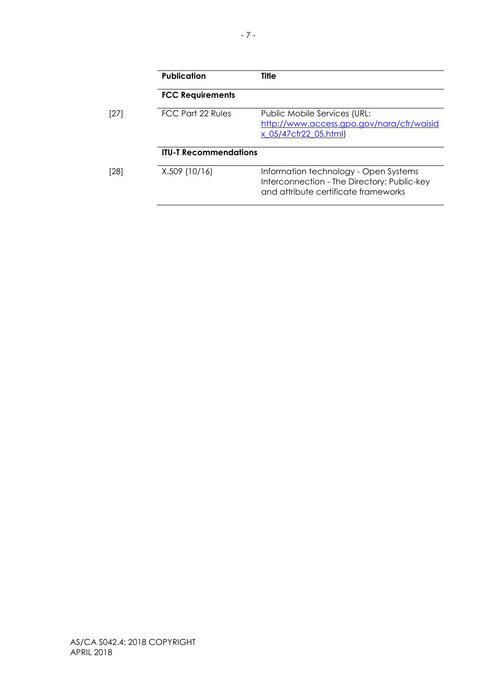|      | <b>Publication</b>           | <b>Title</b>                                                                                                                 |
|------|------------------------------|------------------------------------------------------------------------------------------------------------------------------|
|      | <b>FCC Requirements</b>      |                                                                                                                              |
| [27] | <b>FCC Part 22 Rules</b>     | Public Mobile Services (URL:<br>http://www.access.gpo.gov/nara/cfr/waisid<br>x_05/47cfr22_05.html)                           |
|      | <b>ITU-T Recommendations</b> |                                                                                                                              |
| [28] | X.509 (10/16)                | Information technology - Open Systems<br>Interconnection - The Directory: Public-key<br>and attribute certificate frameworks |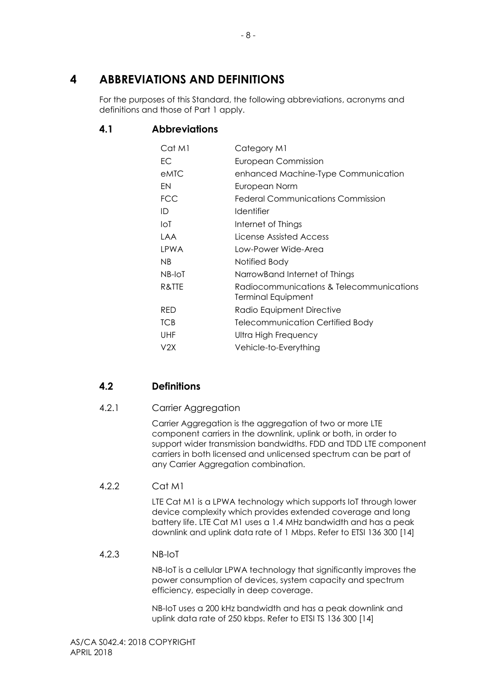## <span id="page-14-0"></span>**4 ABBREVIATIONS AND DEFINITIONS**

For the purposes of this Standard, the following abbreviations, acronyms and definitions and those of Part 1 apply.

## <span id="page-14-1"></span>**4.1 Abbreviations**

| Cat M1     | Category M1                                                    |
|------------|----------------------------------------------------------------|
| EC         | <b>European Commission</b>                                     |
| eMTC       | enhanced Machine-Type Communication                            |
| EN         | European Norm                                                  |
| <b>FCC</b> | Federal Communications Commission                              |
| ID         | Identifier                                                     |
| loT        | Internet of Things                                             |
| <b>LAA</b> | License Assisted Access                                        |
| LPWA       | Low-Power Wide-Area                                            |
| NB.        | Notified Body                                                  |
| NB-IoT     | NarrowBand Internet of Things                                  |
| R&TTE      | Radiocommunications & Telecommunications<br>Terminal Equipment |
| <b>RED</b> | Radio Equipment Directive                                      |
| <b>TCB</b> | <b>Telecommunication Certified Body</b>                        |
| <b>UHF</b> | Ultra High Frequency                                           |
| V2X        | Vehicle-to-Everything                                          |

## <span id="page-14-2"></span>**4.2 Definitions**

## <span id="page-14-3"></span>4.2.1 Carrier Aggregation

Carrier Aggregation is the aggregation of two or more LTE component carriers in the downlink, uplink or both, in order to support wider transmission bandwidths. FDD and TDD LTE component carriers in both licensed and unlicensed spectrum can be part of any Carrier Aggregation combination.

## <span id="page-14-4"></span>4.2.2 Cat M1

LTE Cat M1 is a LPWA technology which supports IoT through lower device complexity which provides extended coverage and long battery life. LTE Cat M1 uses a 1.4 MHz bandwidth and has a peak downlink and uplink data rate of 1 Mbps. Refer to ETSI 136 300 [14]

#### <span id="page-14-5"></span>4.2.3 NB-IoT

NB-IoT is a cellular LPWA technology that significantly improves the power consumption of devices, system capacity and spectrum efficiency, especially in deep coverage.

NB-IoT uses a 200 kHz bandwidth and has a peak downlink and uplink data rate of 250 kbps. Refer to ETSI TS 136 300 [14]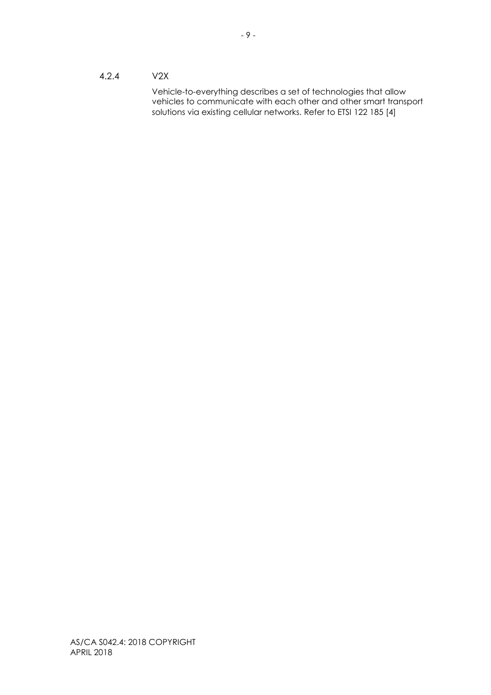#### <span id="page-15-0"></span>4.2.4 V2X

Vehicle-to-everything describes a set of technologies that allow vehicles to communicate with each other and other smart transport solutions via existing cellular networks. Refer to ETSI 122 185 [4]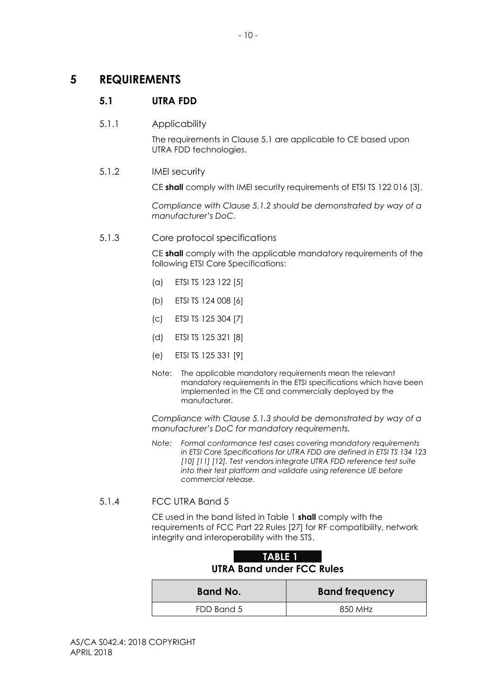## <span id="page-16-1"></span><span id="page-16-0"></span>**5 REQUIREMENTS**

## **5.1 UTRA FDD**

#### <span id="page-16-2"></span>5.1.1 Applicability

The requirements in Clause 5.1 are applicable to CE based upon UTRA FDD technologies.

#### <span id="page-16-3"></span>5.1.2 IMEI security

CE **shall** comply with IMEI security requirements of ETSI TS 122 016 [3].

*Compliance with Clause 5.1.2 should be demonstrated by way of a manufacturer's DoC.*

#### <span id="page-16-4"></span>5.1.3 Core protocol specifications

CE **shall** comply with the applicable mandatory requirements of the following ETSI Core Specifications:

- (a) ETSI TS 123 122 [5]
- (b) ETSI TS 124 008 [6]
- (c) ETSI TS 125 304 [7]
- (d) ETSI TS 125 321 [8]
- (e) ETSI TS 125 331 [9]
- Note: The applicable mandatory requirements mean the relevant mandatory requirements in the ETSI specifications which have been implemented in the CE and commercially deployed by the manufacturer.

*Compliance with Clause 5.1.3 should be demonstrated by way of a manufacturer's DoC for mandatory requirements.*

*Note: Formal conformance test cases covering mandatory requirements in ETSI Core Specifications for UTRA FDD are defined in ETSI TS 134 123 [10] [11] [12]. Test vendors integrate UTRA FDD reference test suite into their test platform and validate using reference UE before commercial release.*

#### <span id="page-16-5"></span>5.1.4 FCC UTRA Band 5

CE used in the band listed in Table 1 **shall** comply with the requirements of FCC Part 22 Rules [27] for RF compatibility, network integrity and interoperability with the STS.

| TABLE 1<br><b>UTRA Band under FCC Rules</b> |         |  |
|---------------------------------------------|---------|--|
| <b>Band No.</b><br><b>Band frequency</b>    |         |  |
| FDD Band 5                                  | 850 MHz |  |

# <span id="page-16-6"></span>**TABLE 1**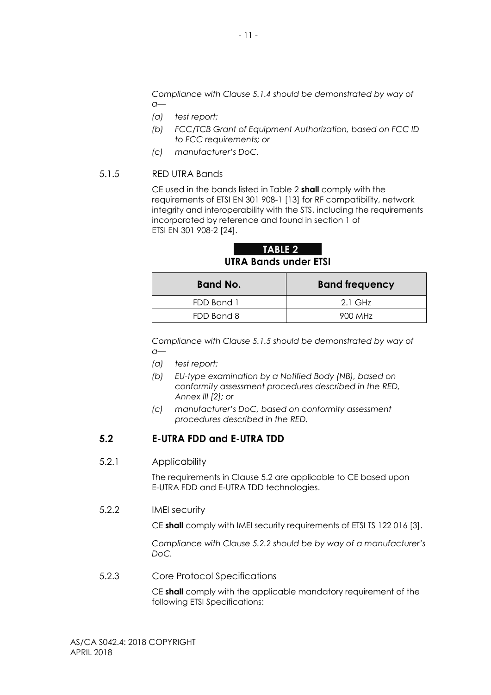*Compliance with Clause 5.1.4 should be demonstrated by way of a—*

- *(a) test report;*
- *(b) FCC/TCB Grant of Equipment Authorization, based on FCC ID to FCC requirements; or*
- *(c) manufacturer's DoC.*

#### <span id="page-17-0"></span>5.1.5 RED UTRA Bands

CE used in the bands listed in Table 2 **shall** comply with the requirements of ETSI EN 301 908-1 [13] for RF compatibility, network integrity and interoperability with the STS, including the requirements incorporated by reference and found in section 1 of ETSI EN 301 908-2 [24].

<span id="page-17-5"></span>**TABLE 2 UTRA Bands under ETSI**

| <b>Band No.</b> | <b>Band frequency</b> |
|-----------------|-----------------------|
| FDD Band 1      | $2.1$ GHz             |
| FDD Band 8      | 900 MHz               |

*Compliance with Clause 5.1.5 should be demonstrated by way of a—*

- *(a) test report;*
- *(b) EU-type examination by a Notified Body (NB), based on conformity assessment procedures described in the RED, Annex III [2]; or*
- *(c) manufacturer's DoC, based on conformity assessment procedures described in the RED.*

#### <span id="page-17-1"></span>**5.2 E-UTRA FDD and E-UTRA TDD**

#### <span id="page-17-2"></span>5.2.1 Applicability

The requirements in Clause 5.2 are applicable to CE based upon E-UTRA FDD and E-UTRA TDD technologies.

<span id="page-17-3"></span>5.2.2 IMEI security

CE **shall** comply with IMEI security requirements of ETSI TS 122 016 [3].

*Compliance with Clause 5.2.2 should be by way of a manufacturer's DoC.*

<span id="page-17-4"></span>5.2.3 Core Protocol Specifications

CE **shall** comply with the applicable mandatory requirement of the following ETSI Specifications: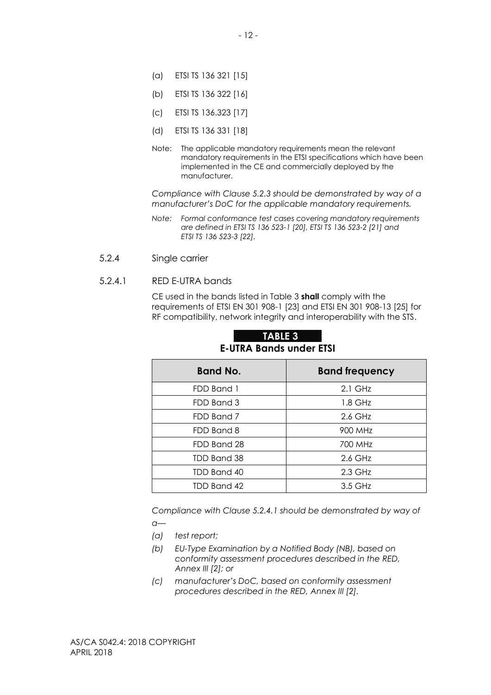- (a) ETSI TS 136 321 [15]
- (b) ETSI TS 136 322 [16]
- (c) ETSI TS 136.323 [17]
- (d) ETSI TS 136 331 [18]
- Note: The applicable mandatory requirements mean the relevant mandatory requirements in the ETSI specifications which have been implemented in the CE and commercially deployed by the manufacturer.

*Compliance with Clause 5.2.3 should be demonstrated by way of a manufacturer's DoC for the applicable mandatory requirements.*

- *Note: Formal conformance test cases covering mandatory requirements are defined in ETSI TS 136 523-1 [20], ETSI TS 136 523-2 [21] and ETSI TS 136 523-3 [22].*
- <span id="page-18-0"></span>5.2.4 Single carrier

#### 5.2.4.1 RED E-UTRA bands

CE used in the bands listed in Table 3 **shall** comply with the requirements of ETSI EN 301 908-1 [23] and ETSI EN 301 908-13 [25] for RF compatibility, network integrity and interoperability with the STS.

| <b>Band No.</b> | <b>Band frequency</b> |
|-----------------|-----------------------|
| FDD Band 1      | $2.1$ GHz             |
| FDD Band 3      | $1.8$ GHz             |
| FDD Band 7      | 2.6 GHz               |
| FDD Band 8      | 900 MHz               |
| FDD Band 28     | 700 MHz               |
| TDD Band 38     | 2.6 GHz               |
| TDD Band 40     | 2.3 GHz               |
| TDD Band 42     | 3.5 GHz               |

#### <span id="page-18-1"></span>**TABLE 3 E-UTRA Bands under ETSI**

*Compliance with Clause 5.2.4.1 should be demonstrated by way of a—*

- *(a) test report;*
- *(b) EU-Type Examination by a Notified Body (NB), based on conformity assessment procedures described in the RED, Annex III [2]; or*
- *(c) manufacturer's DoC, based on conformity assessment procedures described in the RED, Annex III [2].*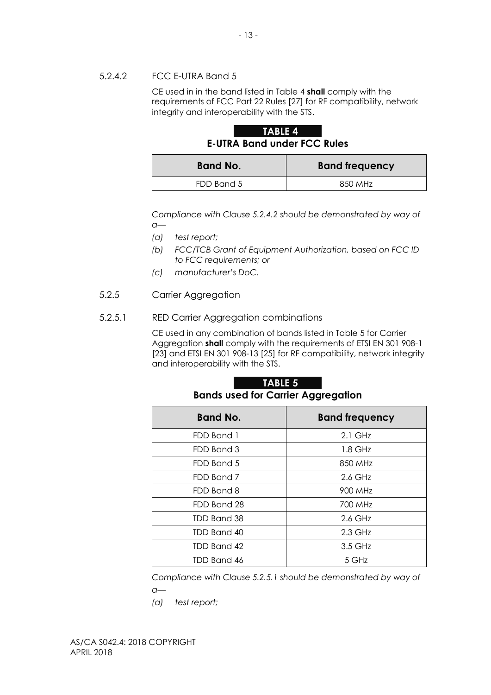#### 5.2.4.2 FCC E-UTRA Band 5

CE used in in the band listed in Table 4 **shall** comply with the requirements of FCC Part 22 Rules [27] for RF compatibility, network integrity and interoperability with the STS.

## <span id="page-19-1"></span>**TABLE 4 E-UTRA Band under FCC Rules**

| <b>Band No.</b> | <b>Band frequency</b> |
|-----------------|-----------------------|
| FDD Band 5      | 850 MHz               |

*Compliance with Clause 5.2.4.2 should be demonstrated by way of a—*

*(a) test report;*

- *(b) FCC/TCB Grant of Equipment Authorization, based on FCC ID to FCC requirements; or*
- *(c) manufacturer's DoC.*
- <span id="page-19-0"></span>5.2.5 Carrier Aggregation

#### 5.2.5.1 RED Carrier Aggregation combinations

CE used in any combination of bands listed in Table 5 for Carrier Aggregation **shall** comply with the requirements of ETSI EN 301 908-1 [23] and ETSI EN 301 908-13 [25] for RF compatibility, network integrity and interoperability with the STS.

#### <span id="page-19-2"></span>**TABLE 5 Bands used for Carrier Aggregation**

| <b>Band No.</b> | <b>Band frequency</b> |
|-----------------|-----------------------|
| FDD Band 1      | $2.1$ GHz             |
| FDD Band 3      | $1.8$ GHz             |
| FDD Band 5      | 850 MHz               |
| FDD Band 7      | 2.6 GHz               |
| FDD Band 8      | 900 MHz               |
| FDD Band 28     | 700 MHz               |
| TDD Band 38     | 2.6 GHz               |
| TDD Band 40     | $2.3$ GHz             |
| TDD Band 42     | 3.5 GHz               |
| TDD Band 46     | 5 GHz                 |

*Compliance with Clause 5.2.5.1 should be demonstrated by way of* 

*a—*

*(a) test report;*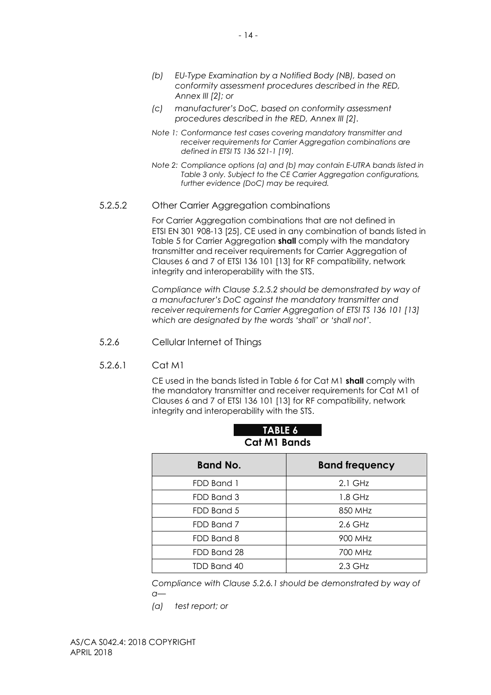- *(b) EU-Type Examination by a Notified Body (NB), based on conformity assessment procedures described in the RED, Annex III [2]; or*
- *(c) manufacturer's DoC, based on conformity assessment procedures described in the RED, Annex III [2].*
- *Note 1: Conformance test cases covering mandatory transmitter and receiver requirements for Carrier Aggregation combinations are defined in ETSI TS 136 521-1 [19].*
- *Note 2: Compliance options (a) and (b) may contain E-UTRA bands listed in Table 3 only. Subject to the CE Carrier Aggregation configurations, further evidence (DoC) may be required.*

#### 5.2.5.2 Other Carrier Aggregation combinations

For Carrier Aggregation combinations that are not defined in ETSI EN 301 908-13 [25], CE used in any combination of bands listed in Table 5 for Carrier Aggregation **shall** comply with the mandatory transmitter and receiver requirements for Carrier Aggregation of Clauses 6 and 7 of ETSI 136 101 [13] for RF compatibility, network integrity and interoperability with the STS.

*Compliance with Clause 5.2.5.2 should be demonstrated by way of a manufacturer's DoC against the mandatory transmitter and receiver requirements for Carrier Aggregation of ETSI TS 136 101 [13] which are designated by the words 'shall' or 'shall not'.*

- <span id="page-20-0"></span>5.2.6 Cellular Internet of Things
- 5.2.6.1 Cat M1

CE used in the bands listed in Table 6 for Cat M1 **shall** comply with the mandatory transmitter and receiver requirements for Cat M1 of Clauses 6 and 7 of ETSI 136 101 [13] for RF compatibility, network integrity and interoperability with the STS.

| <b>Band No.</b> | <b>Band frequency</b> |
|-----------------|-----------------------|
| FDD Band 1      | $2.1$ GHz             |
| FDD Band 3      | 1.8 GHz               |
| FDD Band 5      | 850 MHz               |
| FDD Band 7      | $2.6$ GHz             |
| FDD Band 8      | 900 MHz               |
| FDD Band 28     | 700 MHz               |
| TDD Band 40     | $2.3$ GHz             |

## <span id="page-20-1"></span>**TABLE 6 Cat M1 Bands**

*Compliance with Clause 5.2.6.1 should be demonstrated by way of a—*

*(a) test report; or*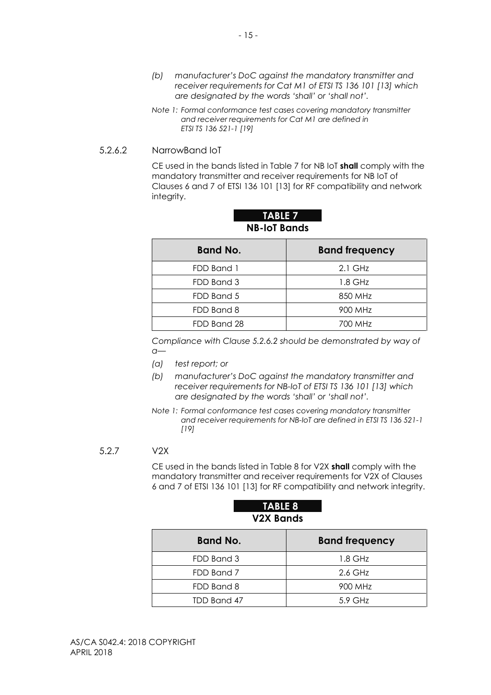- *(b) manufacturer's DoC against the mandatory transmitter and receiver requirements for Cat M1 of ETSI TS 136 101 [13] which are designated by the words 'shall' or 'shall not'.*
- *Note 1: Formal conformance test cases covering mandatory transmitter and receiver requirements for Cat M1 are defined in ETSI TS 136 521-1 [19]*

#### 5.2.6.2 NarrowBand IoT

CE used in the bands listed in Table 7 for NB IoT **shall** comply with the mandatory transmitter and receiver requirements for NB IoT of Clauses 6 and 7 of ETSI 136 101 [13] for RF compatibility and network integrity.

| <b>Band No.</b> | <b>Band frequency</b> |
|-----------------|-----------------------|
| FDD Band 1      | $2.1$ GHz             |
| FDD Band 3      | 1.8 GHz               |
| FDD Band 5      | 850 MHz               |
| FDD Band 8      | 900 MHz               |
| FDD Band 28     | 700 MHz               |

#### <span id="page-21-1"></span>**TABLE 7 NB-IoT Bands**

*Compliance with Clause 5.2.6.2 should be demonstrated by way of a—*

- *(a) test report; or*
- *(b) manufacturer's DoC against the mandatory transmitter and receiver requirements for NB-IoT of ETSI TS 136 101 [13] which are designated by the words 'shall' or 'shall not'.*
- *Note 1: Formal conformance test cases covering mandatory transmitter and receiver requirements for NB-IoT are defined in ETSI TS 136 521-1 [19]*

#### <span id="page-21-0"></span>5.2.7 V2X

CE used in the bands listed in Table 8 for V2X **shall** comply with the mandatory transmitter and receiver requirements for V2X of Clauses 6 and 7 of ETSI 136 101 [13] for RF compatibility and network integrity.

## <span id="page-21-2"></span>**TABLE 8 V2X Bands**

| <b>Band No.</b> | <b>Band frequency</b> |
|-----------------|-----------------------|
| FDD Band 3      | 1.8 GHz               |
| FDD Band 7      | 2.6 GHz               |
| FDD Band 8      | 900 MHz               |
| TDD Band 47     | $5.9$ GHz             |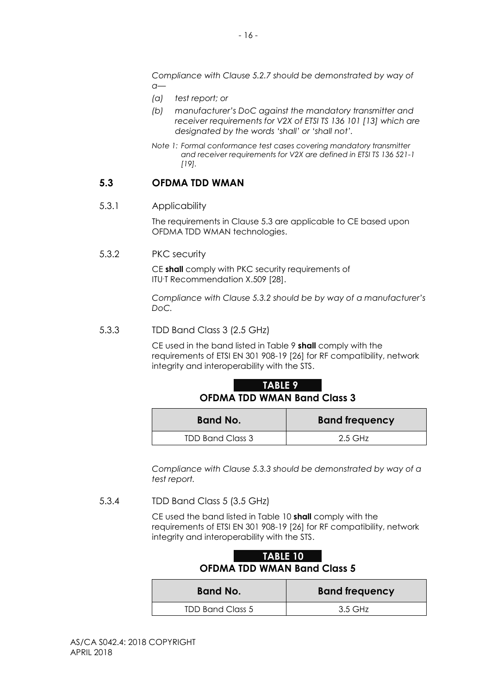*Compliance with Clause 5.2.7 should be demonstrated by way of a—*

- *(a) test report; or*
- *(b) manufacturer's DoC against the mandatory transmitter and receiver requirements for V2X of ETSI TS 136 101 [13] which are designated by the words 'shall' or 'shall not'.*
- *Note 1: Formal conformance test cases covering mandatory transmitter and receiver requirements for V2X are defined in ETSI TS 136 521-1 [19].*

#### <span id="page-22-0"></span>**5.3 OFDMA TDD WMAN**

#### <span id="page-22-1"></span>5.3.1 Applicability

The requirements in Clause 5.3 are applicable to CE based upon OFDMA TDD WMAN technologies.

<span id="page-22-2"></span>5.3.2 PKC security

CE **shall** comply with PKC security requirements of ITU-T Recommendation X.509 [28].

*Compliance with Clause 5.3.2 should be by way of a manufacturer's DoC.*

<span id="page-22-3"></span>5.3.3 TDD Band Class 3 (2.5 GHz)

CE used in the band listed in Table 9 **shall** comply with the requirements of ETSI EN 301 908-19 [26] for RF compatibility, network integrity and interoperability with the STS.

#### <span id="page-22-5"></span>**TABLE 9 OFDMA TDD WMAN Band Class 3**

| <b>Band No.</b>         | <b>Band frequency</b> |  |
|-------------------------|-----------------------|--|
| <b>TDD Band Class 3</b> | $2.5$ GHz             |  |

*Compliance with Clause 5.3.3 should be demonstrated by way of a test report.*

<span id="page-22-4"></span>5.3.4 TDD Band Class 5 (3.5 GHz)

CE used the band listed in Table 10 **shall** comply with the requirements of ETSI EN 301 908-19 [26] for RF compatibility, network integrity and interoperability with the STS.

<span id="page-22-6"></span>

|                                    | <b>TABLE 10</b> |  |  |
|------------------------------------|-----------------|--|--|
| <b>OFDMA TDD WMAN Band Class 5</b> |                 |  |  |
|                                    |                 |  |  |

| <b>Band No.</b>         | <b>Band frequency</b> |
|-------------------------|-----------------------|
| <b>TDD Band Class 5</b> | 3.5 GHz               |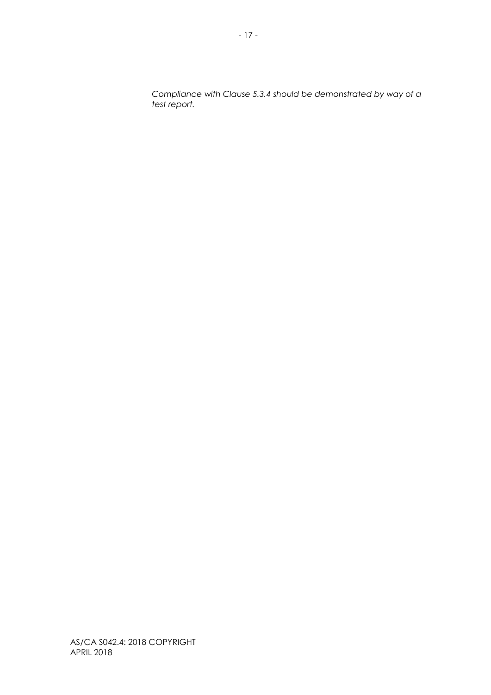*Compliance with Clause 5.3.4 should be demonstrated by way of a test report.*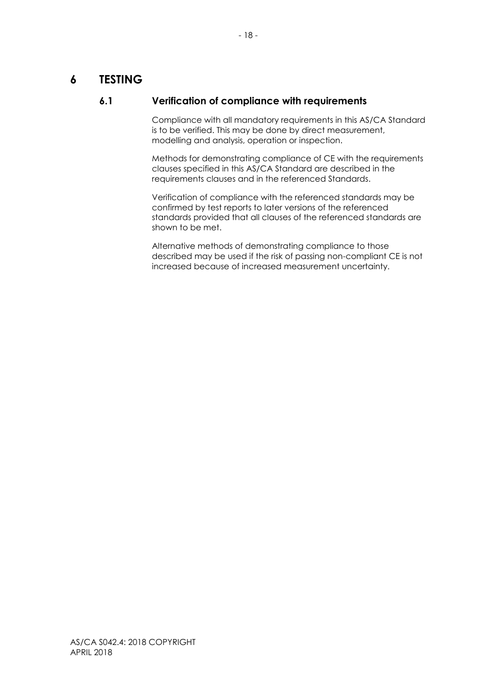## <span id="page-24-1"></span><span id="page-24-0"></span>**6 TESTING**

## **6.1 Verification of compliance with requirements**

Compliance with all mandatory requirements in this AS/CA Standard is to be verified. This may be done by direct measurement, modelling and analysis, operation or inspection.

Methods for demonstrating compliance of CE with the requirements clauses specified in this AS/CA Standard are described in the requirements clauses and in the referenced Standards.

Verification of compliance with the referenced standards may be confirmed by test reports to later versions of the referenced standards provided that all clauses of the referenced standards are shown to be met.

Alternative methods of demonstrating compliance to those described may be used if the risk of passing non-compliant CE is not increased because of increased measurement uncertainty.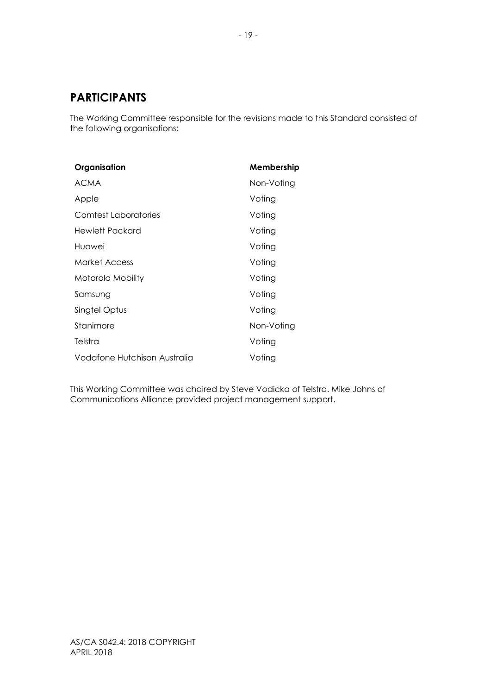## <span id="page-25-0"></span>**PARTICIPANTS**

The Working Committee responsible for the revisions made to this Standard consisted of the following organisations:

| Organisation                 | Membership |
|------------------------------|------------|
| <b>ACMA</b>                  | Non-Voting |
| Apple                        | Voting     |
| Comtest Laboratories         | Voting     |
| Hewlett Packard              | Voting     |
| Huawei                       | Voting     |
| Market Access                | Voting     |
| Motorola Mobility            | Voting     |
| Samsung                      | Votina     |
| Singtel Optus                | Voting     |
| Stanimore                    | Non-Voting |
| Telstra                      | Voting     |
| Vodafone Hutchison Australia | Voting     |

This Working Committee was chaired by Steve Vodicka of Telstra. Mike Johns of Communications Alliance provided project management support.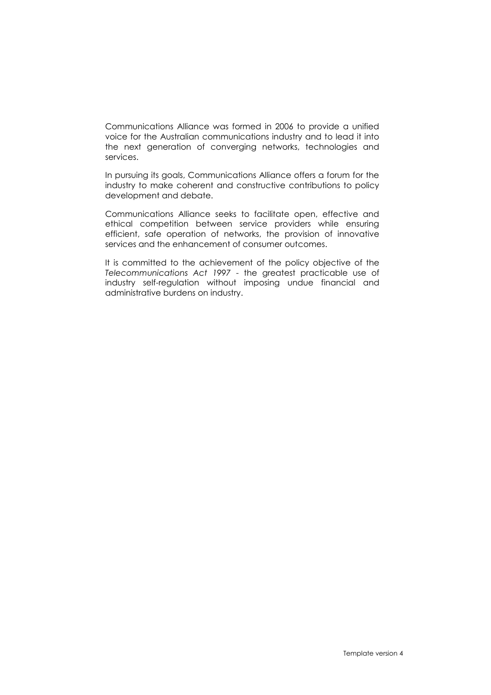Communications Alliance was formed in 2006 to provide a unified voice for the Australian communications industry and to lead it into the next generation of converging networks, technologies and services.

In pursuing its goals, Communications Alliance offers a forum for the industry to make coherent and constructive contributions to policy development and debate.

Communications Alliance seeks to facilitate open, effective and ethical competition between service providers while ensuring efficient, safe operation of networks, the provision of innovative services and the enhancement of consumer outcomes.

It is committed to the achievement of the policy objective of the *Telecommunications Act 1997* - the greatest practicable use of industry self-regulation without imposing undue financial and administrative burdens on industry.